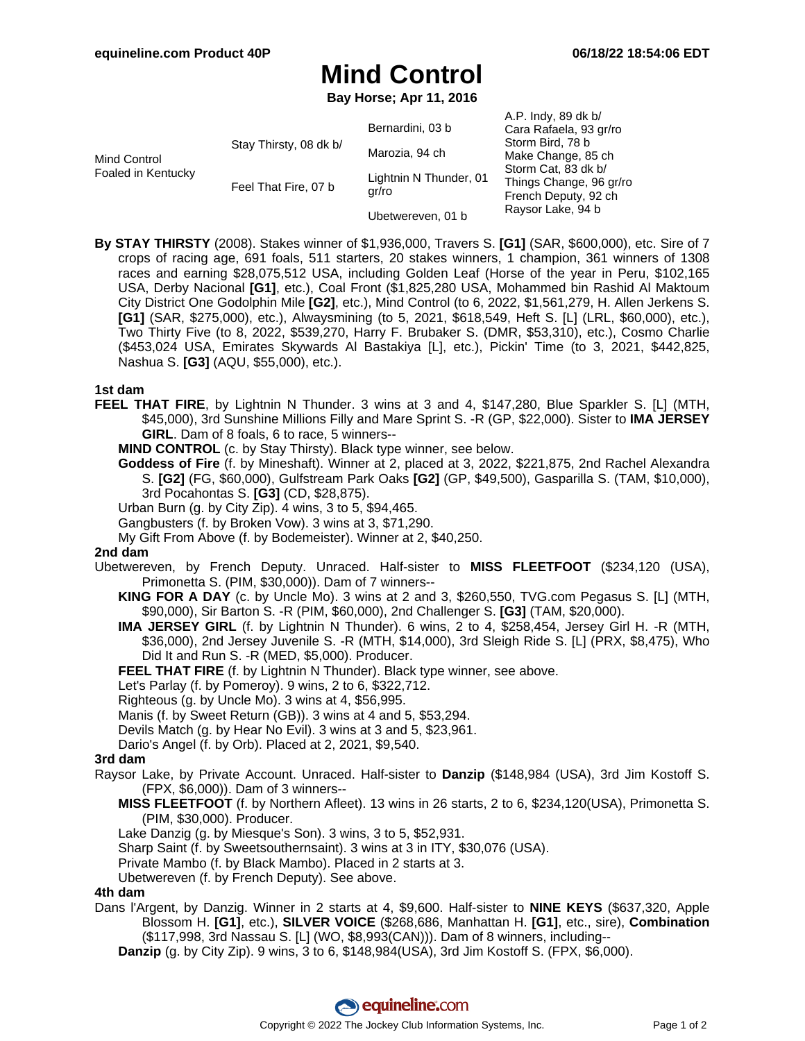# **Mind Control**

**Bay Horse; Apr 11, 2016**

| Mind Control<br>Foaled in Kentucky | Stay Thirsty, 08 dk b/ | Bernardini, 03 b<br>Marozia, 94 ch<br>Lightnin N Thunder, 01 | A.P. Indy, 89 dk b/<br>Cara Rafaela, 93 gr/ro<br>Storm Bird, 78 b<br>Make Change, 85 ch<br>Storm Cat, 83 dk b/ |
|------------------------------------|------------------------|--------------------------------------------------------------|----------------------------------------------------------------------------------------------------------------|
|                                    | Feel That Fire, 07 b   | gr/ro                                                        | Things Change, 96 gr/ro<br>French Deputy, 92 ch<br>Raysor Lake, 94 b                                           |
|                                    |                        | Ubetwereven, 01 b                                            |                                                                                                                |

**By STAY THIRSTY** (2008). Stakes winner of \$1,936,000, Travers S. **[G1]** (SAR, \$600,000), etc. Sire of 7 crops of racing age, 691 foals, 511 starters, 20 stakes winners, 1 champion, 361 winners of 1308 races and earning \$28,075,512 USA, including Golden Leaf (Horse of the year in Peru, \$102,165 USA, Derby Nacional **[G1]**, etc.), Coal Front (\$1,825,280 USA, Mohammed bin Rashid Al Maktoum City District One Godolphin Mile **[G2]**, etc.), Mind Control (to 6, 2022, \$1,561,279, H. Allen Jerkens S. **[G1]** (SAR, \$275,000), etc.), Alwaysmining (to 5, 2021, \$618,549, Heft S. [L] (LRL, \$60,000), etc.), Two Thirty Five (to 8, 2022, \$539,270, Harry F. Brubaker S. (DMR, \$53,310), etc.), Cosmo Charlie (\$453,024 USA, Emirates Skywards Al Bastakiya [L], etc.), Pickin' Time (to 3, 2021, \$442,825, Nashua S. **[G3]** (AQU, \$55,000), etc.).

#### **1st dam**

**FEEL THAT FIRE**, by Lightnin N Thunder. 3 wins at 3 and 4, \$147,280, Blue Sparkler S. [L] (MTH, \$45,000), 3rd Sunshine Millions Filly and Mare Sprint S. -R (GP, \$22,000). Sister to **IMA JERSEY GIRL**. Dam of 8 foals, 6 to race, 5 winners--

**MIND CONTROL** (c. by Stay Thirsty). Black type winner, see below.

**Goddess of Fire** (f. by Mineshaft). Winner at 2, placed at 3, 2022, \$221,875, 2nd Rachel Alexandra S. **[G2]** (FG, \$60,000), Gulfstream Park Oaks **[G2]** (GP, \$49,500), Gasparilla S. (TAM, \$10,000), 3rd Pocahontas S. **[G3]** (CD, \$28,875).

Urban Burn (g. by City Zip). 4 wins, 3 to 5, \$94,465.

Gangbusters (f. by Broken Vow). 3 wins at 3, \$71,290.

My Gift From Above (f. by Bodemeister). Winner at 2, \$40,250.

### **2nd dam**

Ubetwereven, by French Deputy. Unraced. Half-sister to **MISS FLEETFOOT** (\$234,120 (USA), Primonetta S. (PIM, \$30,000)). Dam of 7 winners--

- **KING FOR A DAY** (c. by Uncle Mo). 3 wins at 2 and 3, \$260,550, TVG.com Pegasus S. [L] (MTH, \$90,000), Sir Barton S. -R (PIM, \$60,000), 2nd Challenger S. **[G3]** (TAM, \$20,000).
- **IMA JERSEY GIRL** (f. by Lightnin N Thunder). 6 wins, 2 to 4, \$258,454, Jersey Girl H. -R (MTH, \$36,000), 2nd Jersey Juvenile S. -R (MTH, \$14,000), 3rd Sleigh Ride S. [L] (PRX, \$8,475), Who Did It and Run S. -R (MED, \$5,000). Producer.
- FEEL THAT FIRE (f. by Lightnin N Thunder). Black type winner, see above.

Let's Parlay (f. by Pomeroy). 9 wins, 2 to 6, \$322,712.

- Righteous (g. by Uncle Mo). 3 wins at 4, \$56,995.
- Manis (f. by Sweet Return (GB)). 3 wins at 4 and 5, \$53,294.

Devils Match (g. by Hear No Evil). 3 wins at 3 and 5, \$23,961.

Dario's Angel (f. by Orb). Placed at 2, 2021, \$9,540.

### **3rd dam**

- Raysor Lake, by Private Account. Unraced. Half-sister to **Danzip** (\$148,984 (USA), 3rd Jim Kostoff S. (FPX, \$6,000)). Dam of 3 winners--
	- **MISS FLEETFOOT** (f. by Northern Afleet). 13 wins in 26 starts, 2 to 6, \$234,120(USA), Primonetta S. (PIM, \$30,000). Producer.
	- Lake Danzig (g. by Miesque's Son). 3 wins, 3 to 5, \$52,931.
	- Sharp Saint (f. by Sweetsouthernsaint). 3 wins at 3 in ITY, \$30,076 (USA).
	- Private Mambo (f. by Black Mambo). Placed in 2 starts at 3.
	- Ubetwereven (f. by French Deputy). See above.

### **4th dam**

Dans l'Argent, by Danzig. Winner in 2 starts at 4, \$9,600. Half-sister to **NINE KEYS** (\$637,320, Apple Blossom H. **[G1]**, etc.), **SILVER VOICE** (\$268,686, Manhattan H. **[G1]**, etc., sire), **Combination** (\$117,998, 3rd Nassau S. [L] (WO, \$8,993(CAN))). Dam of 8 winners, including--

**Danzip** (g. by City Zip). 9 wins, 3 to 6, \$148,984(USA), 3rd Jim Kostoff S. (FPX, \$6,000).